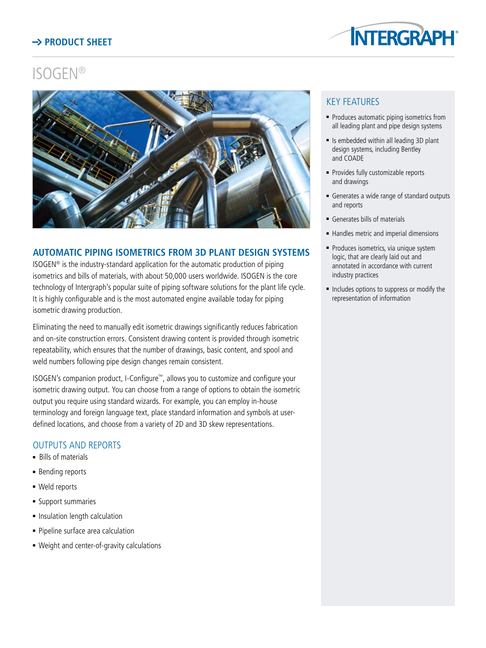# **Product Sheet**



# ISOGEN®



### **AUTOMATIC PIPING ISOMETRICS FROM 3d plant DESIGN SYSTEMS**

ISOGEN® is the industry-standard application for the automatic production of piping isometrics and bills of materials, with about 50,000 users worldwide. ISOGEN is the core technology of Intergraph's popular suite of piping software solutions for the plant life cycle. It is highly configurable and is the most automated engine available today for piping isometric drawing production.

Eliminating the need to manually edit isometric drawings significantly reduces fabrication and on-site construction errors. Consistent drawing content is provided through isometric repeatability, which ensures that the number of drawings, basic content, and spool and weld numbers following pipe design changes remain consistent.

ISOGEN's companion product, I-Configure™, allows you to customize and configure your isometric drawing output. You can choose from a range of options to obtain the isometric output you require using standard wizards. For example, you can employ in-house terminology and foreign language text, place standard information and symbols at userdefined locations, and choose from a variety of 2D and 3D skew representations.

#### OUTPUTS AND REPORTS

- **Bills of materials**
- **Bending reports**
- **Neld reports**
- **Support summaries**
- Insulation length calculation
- Pipeline surface area calculation
- Weight and center-of-gravity calculations

## Key Features

- Produces automatic piping isometrics from all leading plant and pipe design systems
- $\blacksquare$  Is embedded within all leading 3D plant design systems, including Bentley and COADE
- Provides fully customizable reports and drawings
- <sup>n</sup> Generates a wide range of standard outputs and reports
- **Generates bills of materials**
- Handles metric and imperial dimensions
- Produces isometrics, via unique system logic, that are clearly laid out and annotated in accordance with current industry practices
- $\blacksquare$  Includes options to suppress or modify the representation of information